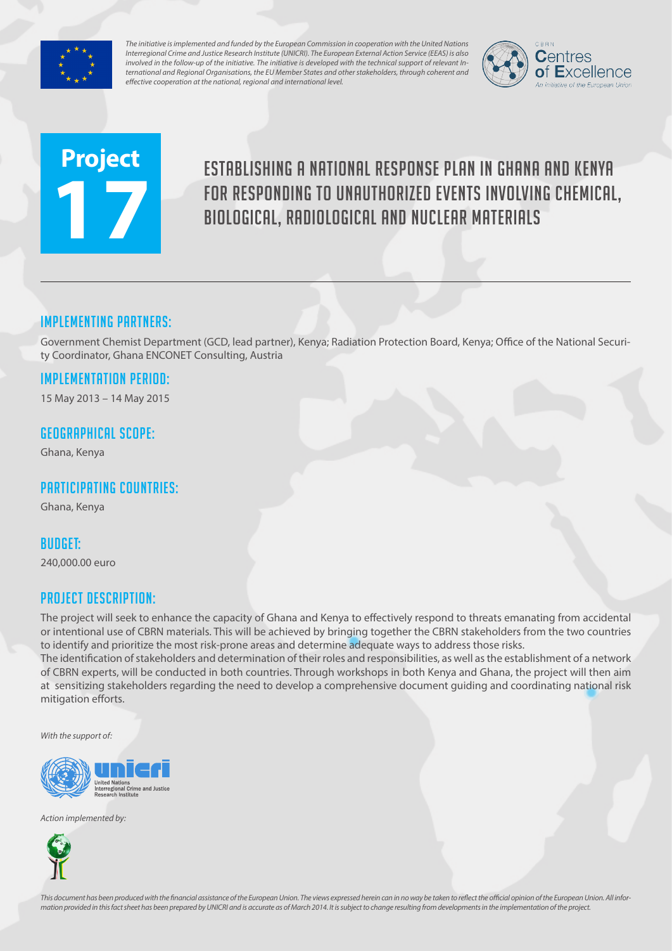

*The initiative is implemented and funded by the European Commission in cooperation with the United Nations Interregional Crime and Justice Research Institute (UNICRI). The European External Action Service (EEAS) is also involved in the follow-up of the initiative. The initiative is developed with the technical support of relevant International and Regional Organisations, the EU Member States and other stakeholders, through coherent and effective cooperation at the national, regional and international level.*



# **Project 17**

# Establishing a national response plan in Ghana and Kenya for responding to unauthorized events involving chemical, biological, radiological and nuclear materials

# Implementing partners:

Government Chemist Department (GCD, lead partner), Kenya; Radiation Protection Board, Kenya; Office of the National Security Coordinator, Ghana ENCONET Consulting, Austria

# Implementation Period:

15 May 2013 – 14 May 2015

#### Geographical scope:

Ghana, Kenya

# Participating countries:

Ghana, Kenya

#### Budget:

240,000.00 euro

### Project Description:

The project will seek to enhance the capacity of Ghana and Kenya to effectively respond to threats emanating from accidental or intentional use of CBRN materials. This will be achieved by bringing together the CBRN stakeholders from the two countries to identify and prioritize the most risk-prone areas and determine adequate ways to address those risks.

The identification of stakeholders and determination of their roles and responsibilities, as well as the establishment of a network of CBRN experts, will be conducted in both countries. Through workshops in both Kenya and Ghana, the project will then aim at sensitizing stakeholders regarding the need to develop a comprehensive document guiding and coordinating national risk mitigation efforts.

*With the support of:*



*Action implemented by:*



*This document has been produced with the financial assistance of the European Union. The views expressed herein can in no way be taken to reflect the official opinion of the European Union. All information provided in this fact sheet has been prepared by UNICRI and is accurate as of March 2014. It is subject to change resulting from developments in the implementation of the project.*